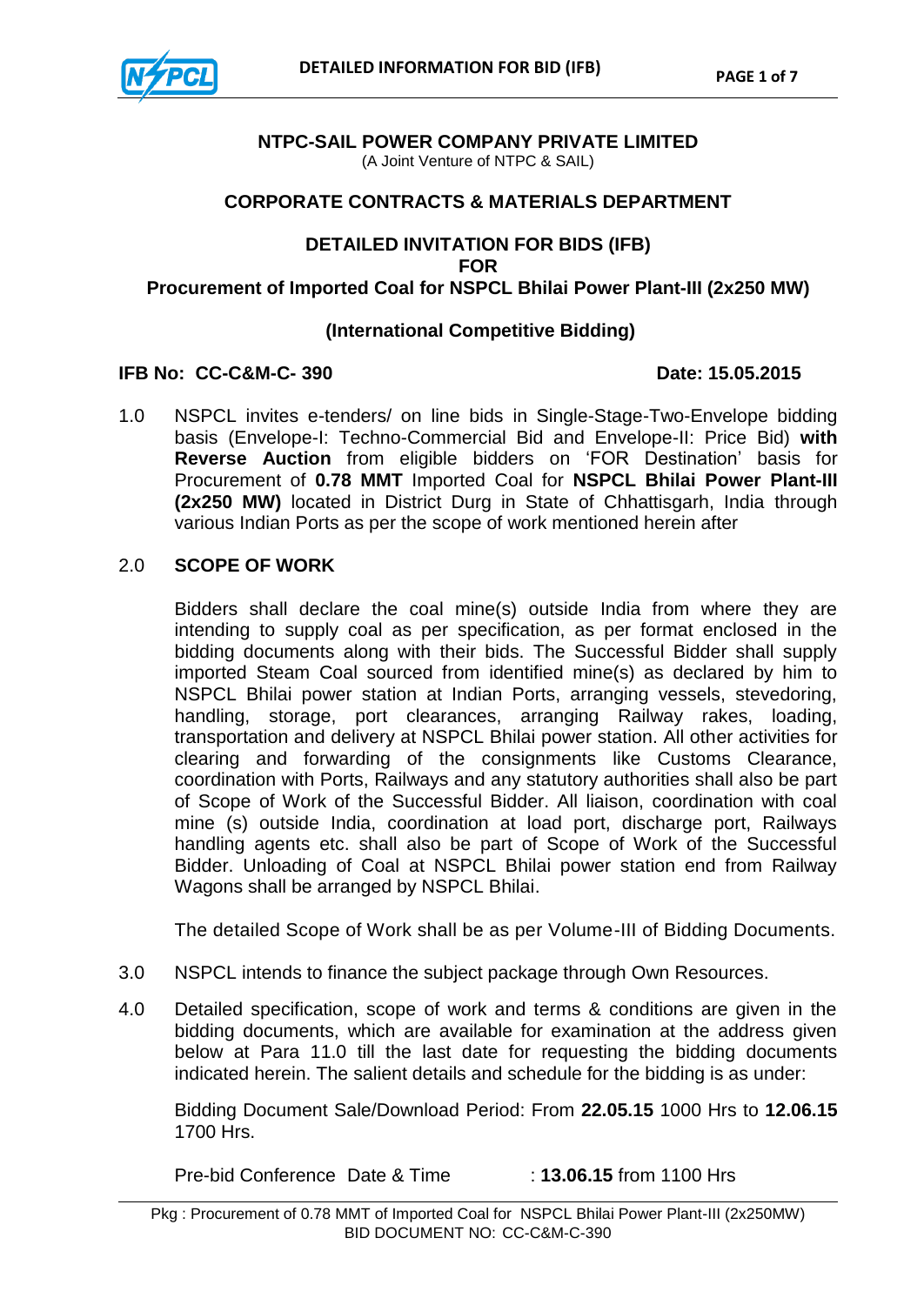

# **NTPC-SAIL POWER COMPANY PRIVATE LIMITED**

(A Joint Venture of NTPC & SAIL)

#### **CORPORATE CONTRACTS & MATERIALS DEPARTMENT**

## **DETAILED INVITATION FOR BIDS (IFB) FOR Procurement of Imported Coal for NSPCL Bhilai Power Plant-III (2x250 MW)**

#### **(International Competitive Bidding)**

#### **IFB No: CC-C&M-C- 390 Date: 15.05.2015**

1.0 NSPCL invites e-tenders/ on line bids in Single-Stage-Two-Envelope bidding basis (Envelope-I: Techno-Commercial Bid and Envelope-II: Price Bid) **with Reverse Auction** from eligible bidders on "FOR Destination" basis for Procurement of **0.78 MMT** Imported Coal for **NSPCL Bhilai Power Plant-III (2x250 MW)** located in District Durg in State of Chhattisgarh, India through various Indian Ports as per the scope of work mentioned herein after

#### 2.0 **SCOPE OF WORK**

Bidders shall declare the coal mine(s) outside India from where they are intending to supply coal as per specification, as per format enclosed in the bidding documents along with their bids. The Successful Bidder shall supply imported Steam Coal sourced from identified mine(s) as declared by him to NSPCL Bhilai power station at Indian Ports, arranging vessels, stevedoring, handling, storage, port clearances, arranging Railway rakes, loading, transportation and delivery at NSPCL Bhilai power station. All other activities for clearing and forwarding of the consignments like Customs Clearance, coordination with Ports, Railways and any statutory authorities shall also be part of Scope of Work of the Successful Bidder. All liaison, coordination with coal mine (s) outside India, coordination at load port, discharge port, Railways handling agents etc. shall also be part of Scope of Work of the Successful Bidder. Unloading of Coal at NSPCL Bhilai power station end from Railway Wagons shall be arranged by NSPCL Bhilai.

The detailed Scope of Work shall be as per Volume-III of Bidding Documents.

- 3.0 NSPCL intends to finance the subject package through Own Resources.
- 4.0 Detailed specification, scope of work and terms & conditions are given in the bidding documents, which are available for examination at the address given below at Para 11.0 till the last date for requesting the bidding documents indicated herein. The salient details and schedule for the bidding is as under:

Bidding Document Sale/Download Period: From **22.05.15** 1000 Hrs to **12.06.15** 1700 Hrs.

Pre-bid Conference Date & Time : **13.06.15** from 1100 Hrs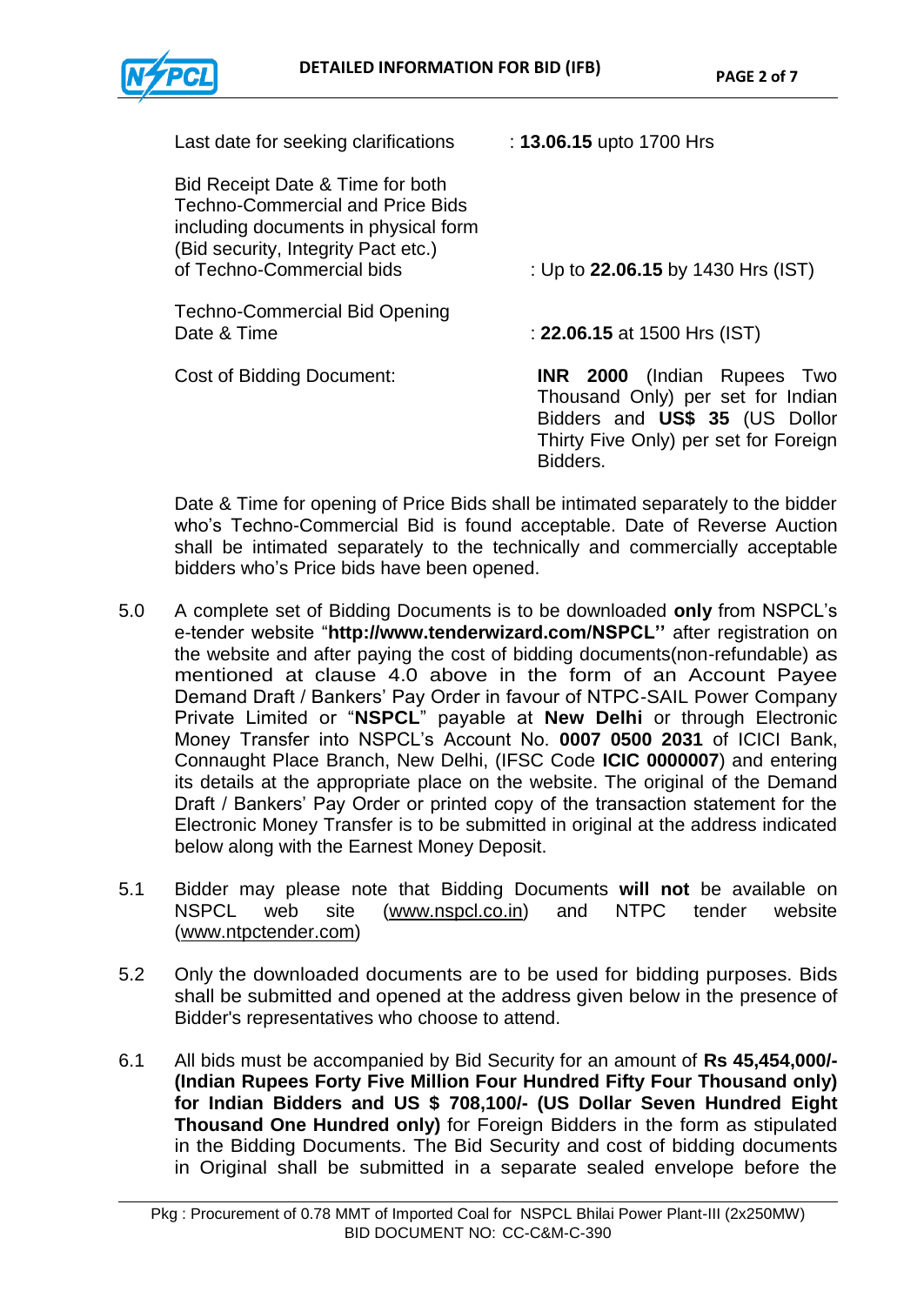| Last date for seeking clarifications                                                                                                                                                    | : 13.06.15 upto 1700 Hrs                                                                                                                                       |
|-----------------------------------------------------------------------------------------------------------------------------------------------------------------------------------------|----------------------------------------------------------------------------------------------------------------------------------------------------------------|
| Bid Receipt Date & Time for both<br><b>Techno-Commercial and Price Bids</b><br>including documents in physical form<br>(Bid security, Integrity Pact etc.)<br>of Techno-Commercial bids | : Up to 22.06.15 by 1430 Hrs (IST)                                                                                                                             |
| <b>Techno-Commercial Bid Opening</b><br>Date & Time                                                                                                                                     | : 22.06.15 at 1500 Hrs (IST)                                                                                                                                   |
| <b>Cost of Bidding Document:</b>                                                                                                                                                        | <b>INR 2000</b> (Indian Rupees Two<br>Thousand Only) per set for Indian<br>Bidders and US\$ 35 (US Dollor<br>Thirty Five Only) per set for Foreign<br>Bidders. |

Date & Time for opening of Price Bids shall be intimated separately to the bidder who"s Techno-Commercial Bid is found acceptable. Date of Reverse Auction shall be intimated separately to the technically and commercially acceptable bidders who"s Price bids have been opened.

- 5.0 A complete set of Bidding Documents is to be downloaded **only** from NSPCL"s e-tender website "**<http://www.tenderwizard.com/>NSPCL''** after registration on the website and after paying the cost of bidding documents(non-refundable) as mentioned at clause 4.0 above in the form of an Account Payee Demand Draft / Bankers" Pay Order in favour of NTPC-SAIL Power Company Private Limited or "**NSPCL**" payable at **New Delhi** or through Electronic Money Transfer into NSPCL"s Account No. **0007 0500 2031** of ICICI Bank, Connaught Place Branch, New Delhi, (IFSC Code **ICIC 0000007**) and entering its details at the appropriate place on the website. The original of the Demand Draft / Bankers' Pay Order or printed copy of the transaction statement for the Electronic Money Transfer is to be submitted in original at the address indicated below along with the Earnest Money Deposit.
- 5.1 Bidder may please note that Bidding Documents **will not** be available on NSPCL web site [\(www.nspcl.co.in\)](http://www.nspcl.co.in/) and NTPC tender website [\(www.ntpctender.com\)](http://www.ntpctender.com/)
- 5.2 Only the downloaded documents are to be used for bidding purposes. Bids shall be submitted and opened at the address given below in the presence of Bidder's representatives who choose to attend.
- 6.1 All bids must be accompanied by Bid Security for an amount of **Rs 45,454,000/- (Indian Rupees Forty Five Million Four Hundred Fifty Four Thousand only) for Indian Bidders and US \$ 708,100/- (US Dollar Seven Hundred Eight Thousand One Hundred only)** for Foreign Bidders in the form as stipulated in the Bidding Documents. The Bid Security and cost of bidding documents in Original shall be submitted in a separate sealed envelope before the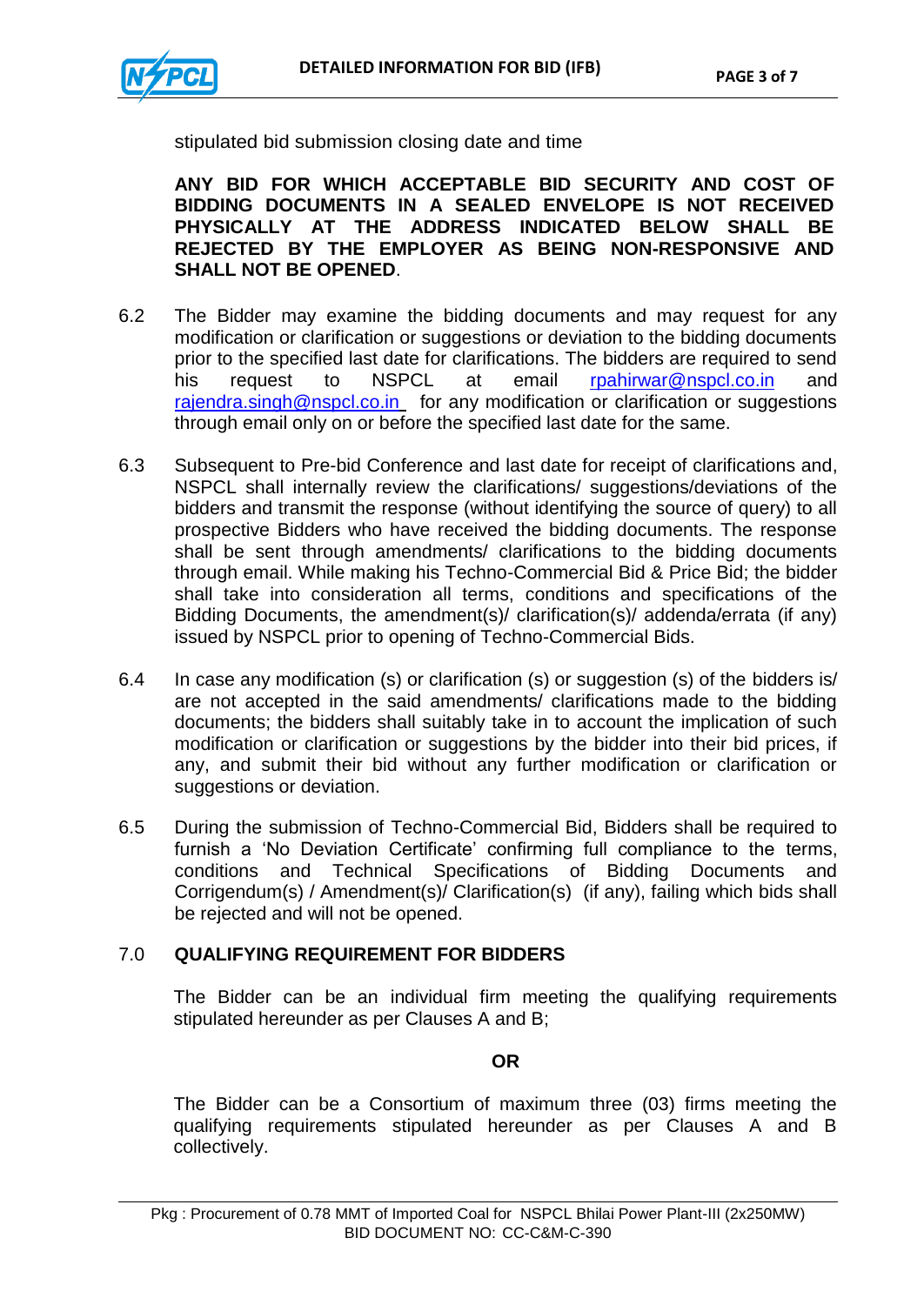

stipulated bid submission closing date and time

**ANY BID FOR WHICH ACCEPTABLE BID SECURITY AND COST OF BIDDING DOCUMENTS IN A SEALED ENVELOPE IS NOT RECEIVED PHYSICALLY AT THE ADDRESS INDICATED BELOW SHALL BE REJECTED BY THE EMPLOYER AS BEING NON-RESPONSIVE AND SHALL NOT BE OPENED**.

- 6.2 The Bidder may examine the bidding documents and may request for any modification or clarification or suggestions or deviation to the bidding documents prior to the specified last date for clarifications. The bidders are required to send his request to NSPCL at email [rpahirwar@nspcl.co.in](mailto:rpahirwar@nspcl.co.in) and [rajendra.singh@nspcl.co.in](mailto:rajendra.singh@nspcl.co.in) for any modification or clarification or suggestions through email only on or before the specified last date for the same.
- 6.3 Subsequent to Pre-bid Conference and last date for receipt of clarifications and, NSPCL shall internally review the clarifications/ suggestions/deviations of the bidders and transmit the response (without identifying the source of query) to all prospective Bidders who have received the bidding documents. The response shall be sent through amendments/ clarifications to the bidding documents through email. While making his Techno-Commercial Bid & Price Bid; the bidder shall take into consideration all terms, conditions and specifications of the Bidding Documents, the amendment(s)/ clarification(s)/ addenda/errata (if any) issued by NSPCL prior to opening of Techno-Commercial Bids.
- 6.4 In case any modification (s) or clarification (s) or suggestion (s) of the bidders is/ are not accepted in the said amendments/ clarifications made to the bidding documents; the bidders shall suitably take in to account the implication of such modification or clarification or suggestions by the bidder into their bid prices, if any, and submit their bid without any further modification or clarification or suggestions or deviation.
- 6.5 During the submission of Techno-Commercial Bid, Bidders shall be required to furnish a 'No Deviation Certificate' confirming full compliance to the terms, conditions and Technical Specifications of Bidding Documents and Corrigendum(s) / Amendment(s)/ Clarification(s) (if any), failing which bids shall be rejected and will not be opened.

#### 7.0 **QUALIFYING REQUIREMENT FOR BIDDERS**

The Bidder can be an individual firm meeting the qualifying requirements stipulated hereunder as per Clauses A and B;

#### **OR**

The Bidder can be a Consortium of maximum three (03) firms meeting the qualifying requirements stipulated hereunder as per Clauses A and B collectively.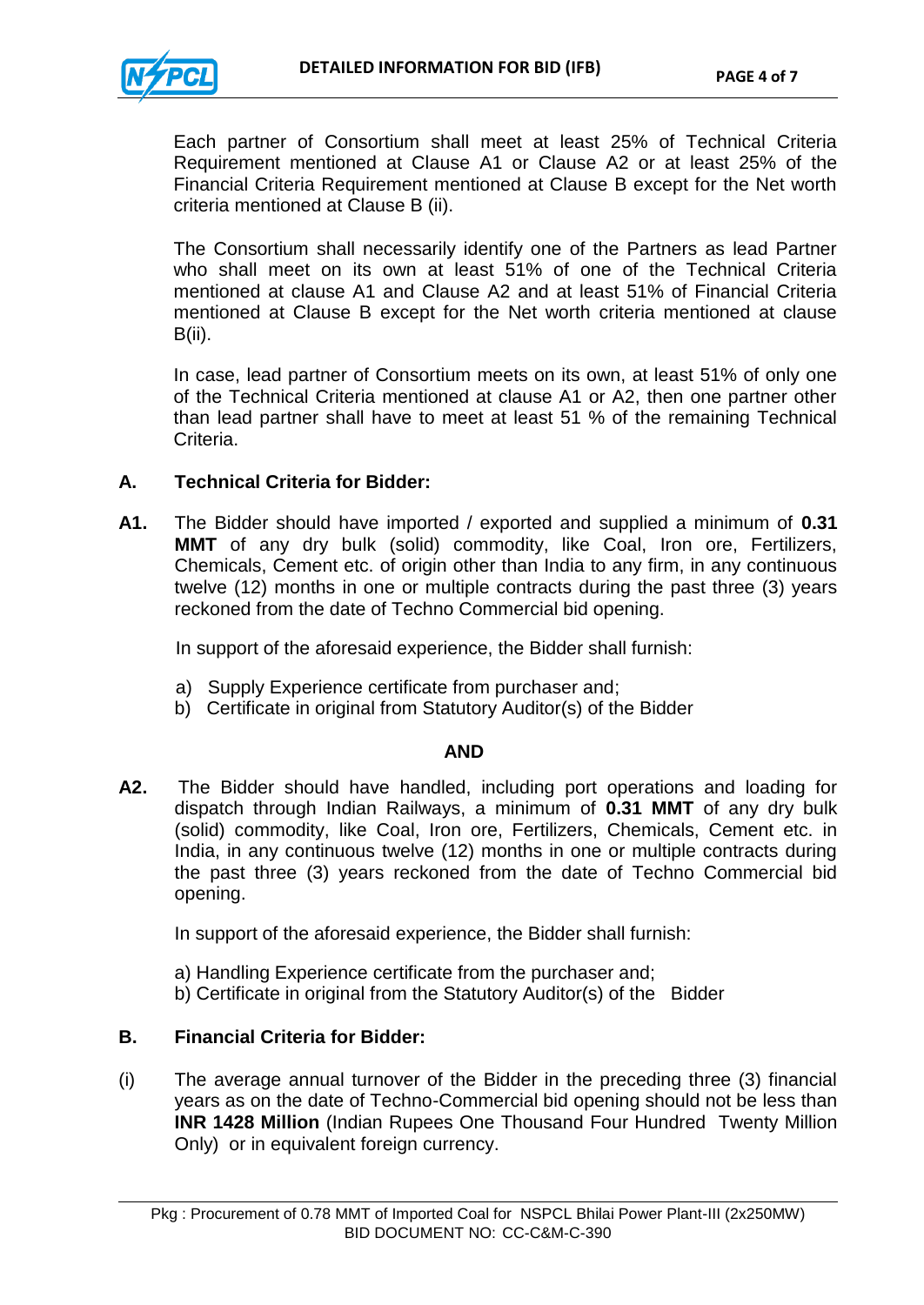

Each partner of Consortium shall meet at least 25% of Technical Criteria Requirement mentioned at Clause A1 or Clause A2 or at least 25% of the Financial Criteria Requirement mentioned at Clause B except for the Net worth criteria mentioned at Clause B (ii).

The Consortium shall necessarily identify one of the Partners as lead Partner who shall meet on its own at least 51% of one of the Technical Criteria mentioned at clause A1 and Clause A2 and at least 51% of Financial Criteria mentioned at Clause B except for the Net worth criteria mentioned at clause B(ii).

In case, lead partner of Consortium meets on its own, at least 51% of only one of the Technical Criteria mentioned at clause A1 or A2, then one partner other than lead partner shall have to meet at least 51 % of the remaining Technical Criteria.

### **A. Technical Criteria for Bidder:**

**A1.** The Bidder should have imported / exported and supplied a minimum of **0.31 MMT** of any dry bulk (solid) commodity, like Coal, Iron ore, Fertilizers, Chemicals, Cement etc. of origin other than India to any firm, in any continuous twelve (12) months in one or multiple contracts during the past three (3) years reckoned from the date of Techno Commercial bid opening.

In support of the aforesaid experience, the Bidder shall furnish:

- a) Supply Experience certificate from purchaser and;
- b) Certificate in original from Statutory Auditor(s) of the Bidder

#### **AND**

**A2.** The Bidder should have handled, including port operations and loading for dispatch through Indian Railways, a minimum of **0.31 MMT** of any dry bulk (solid) commodity, like Coal, Iron ore, Fertilizers, Chemicals, Cement etc. in India, in any continuous twelve (12) months in one or multiple contracts during the past three (3) years reckoned from the date of Techno Commercial bid opening.

In support of the aforesaid experience, the Bidder shall furnish:

- a) Handling Experience certificate from the purchaser and;
- b) Certificate in original from the Statutory Auditor(s) of the Bidder

#### **B. Financial Criteria for Bidder:**

(i) The average annual turnover of the Bidder in the preceding three (3) financial years as on the date of Techno-Commercial bid opening should not be less than **INR 1428 Million** (Indian Rupees One Thousand Four Hundred Twenty Million Only) or in equivalent foreign currency.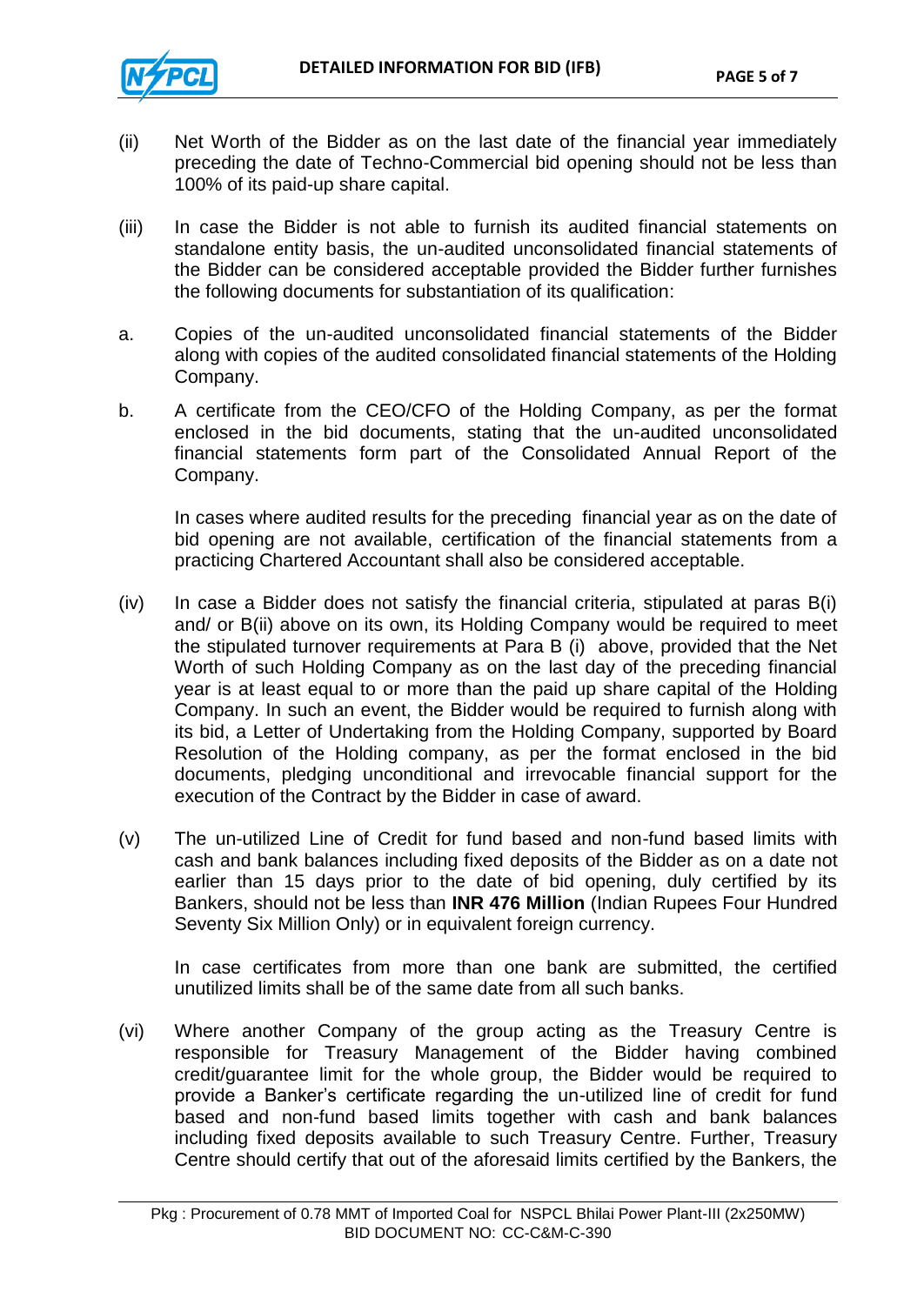- (ii) Net Worth of the Bidder as on the last date of the financial year immediately preceding the date of Techno-Commercial bid opening should not be less than 100% of its paid-up share capital.
- (iii) In case the Bidder is not able to furnish its audited financial statements on standalone entity basis, the un-audited unconsolidated financial statements of the Bidder can be considered acceptable provided the Bidder further furnishes the following documents for substantiation of its qualification:
- a. Copies of the un-audited unconsolidated financial statements of the Bidder along with copies of the audited consolidated financial statements of the Holding Company.
- b. A certificate from the CEO/CFO of the Holding Company, as per the format enclosed in the bid documents, stating that the un-audited unconsolidated financial statements form part of the Consolidated Annual Report of the Company.

In cases where audited results for the preceding financial year as on the date of bid opening are not available, certification of the financial statements from a practicing Chartered Accountant shall also be considered acceptable.

- (iv) In case a Bidder does not satisfy the financial criteria, stipulated at paras B(i) and/ or B(ii) above on its own, its Holding Company would be required to meet the stipulated turnover requirements at Para B (i) above, provided that the Net Worth of such Holding Company as on the last day of the preceding financial year is at least equal to or more than the paid up share capital of the Holding Company. In such an event, the Bidder would be required to furnish along with its bid, a Letter of Undertaking from the Holding Company, supported by Board Resolution of the Holding company, as per the format enclosed in the bid documents, pledging unconditional and irrevocable financial support for the execution of the Contract by the Bidder in case of award.
- (v) The un-utilized Line of Credit for fund based and non-fund based limits with cash and bank balances including fixed deposits of the Bidder as on a date not earlier than 15 days prior to the date of bid opening, duly certified by its Bankers, should not be less than **INR 476 Million** (Indian Rupees Four Hundred Seventy Six Million Only) or in equivalent foreign currency.

In case certificates from more than one bank are submitted, the certified unutilized limits shall be of the same date from all such banks.

(vi) Where another Company of the group acting as the Treasury Centre is responsible for Treasury Management of the Bidder having combined credit/guarantee limit for the whole group, the Bidder would be required to provide a Banker"s certificate regarding the un-utilized line of credit for fund based and non-fund based limits together with cash and bank balances including fixed deposits available to such Treasury Centre. Further, Treasury Centre should certify that out of the aforesaid limits certified by the Bankers, the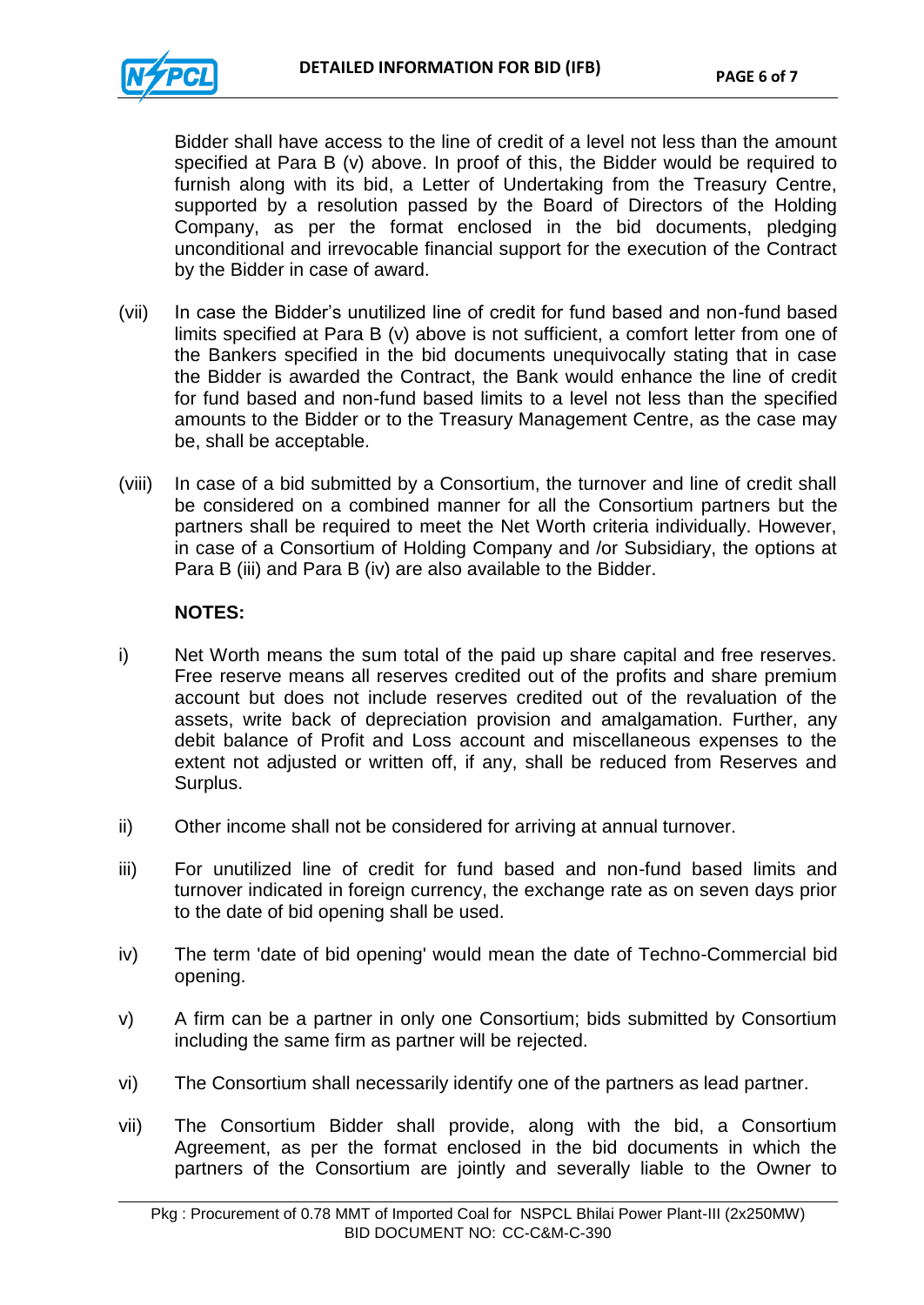

Bidder shall have access to the line of credit of a level not less than the amount specified at Para B (v) above. In proof of this, the Bidder would be required to furnish along with its bid, a Letter of Undertaking from the Treasury Centre, supported by a resolution passed by the Board of Directors of the Holding Company, as per the format enclosed in the bid documents, pledging unconditional and irrevocable financial support for the execution of the Contract by the Bidder in case of award.

- (vii) In case the Bidder"s unutilized line of credit for fund based and non-fund based limits specified at Para B (v) above is not sufficient, a comfort letter from one of the Bankers specified in the bid documents unequivocally stating that in case the Bidder is awarded the Contract, the Bank would enhance the line of credit for fund based and non-fund based limits to a level not less than the specified amounts to the Bidder or to the Treasury Management Centre, as the case may be, shall be acceptable.
- (viii) In case of a bid submitted by a Consortium, the turnover and line of credit shall be considered on a combined manner for all the Consortium partners but the partners shall be required to meet the Net Worth criteria individually. However, in case of a Consortium of Holding Company and /or Subsidiary, the options at Para B (iii) and Para B (iv) are also available to the Bidder.

#### **NOTES:**

- i) Net Worth means the sum total of the paid up share capital and free reserves. Free reserve means all reserves credited out of the profits and share premium account but does not include reserves credited out of the revaluation of the assets, write back of depreciation provision and amalgamation. Further, any debit balance of Profit and Loss account and miscellaneous expenses to the extent not adjusted or written off, if any, shall be reduced from Reserves and Surplus.
- ii) Other income shall not be considered for arriving at annual turnover.
- iii) For unutilized line of credit for fund based and non-fund based limits and turnover indicated in foreign currency, the exchange rate as on seven days prior to the date of bid opening shall be used.
- iv) The term 'date of bid opening' would mean the date of Techno-Commercial bid opening.
- v) A firm can be a partner in only one Consortium; bids submitted by Consortium including the same firm as partner will be rejected.
- vi) The Consortium shall necessarily identify one of the partners as lead partner.
- vii) The Consortium Bidder shall provide, along with the bid, a Consortium Agreement, as per the format enclosed in the bid documents in which the partners of the Consortium are jointly and severally liable to the Owner to